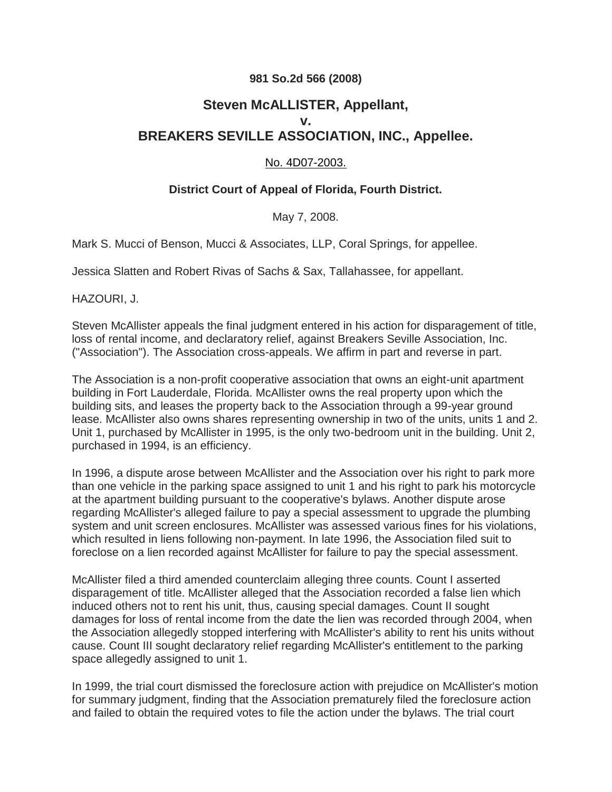# **981 So.2d 566 (2008)**

# **Steven McALLISTER, Appellant, v. BREAKERS SEVILLE ASSOCIATION, INC., Appellee.**

### No. 4D07-2003.

# **District Court of Appeal of Florida, Fourth District.**

May 7, 2008.

Mark S. Mucci of Benson, Mucci & Associates, LLP, Coral Springs, for appellee.

Jessica Slatten and Robert Rivas of Sachs & Sax, Tallahassee, for appellant.

HAZOURI, J.

Steven McAllister appeals the final judgment entered in his action for disparagement of title, loss of rental income, and declaratory relief, against Breakers Seville Association, Inc. ("Association"). The Association cross-appeals. We affirm in part and reverse in part.

The Association is a non-profit cooperative association that owns an eight-unit apartment building in Fort Lauderdale, Florida. McAllister owns the real property upon which the building sits, and leases the property back to the Association through a 99-year ground lease. McAllister also owns shares representing ownership in two of the units, units 1 and 2. Unit 1, purchased by McAllister in 1995, is the only two-bedroom unit in the building. Unit 2, purchased in 1994, is an efficiency.

In 1996, a dispute arose between McAllister and the Association over his right to park more than one vehicle in the parking space assigned to unit 1 and his right to park his motorcycle at the apartment building pursuant to the cooperative's bylaws. Another dispute arose regarding McAllister's alleged failure to pay a special assessment to upgrade the plumbing system and unit screen enclosures. McAllister was assessed various fines for his violations, which resulted in liens following non-payment. In late 1996, the Association filed suit to foreclose on a lien recorded against McAllister for failure to pay the special assessment.

McAllister filed a third amended counterclaim alleging three counts. Count I asserted disparagement of title. McAllister alleged that the Association recorded a false lien which induced others not to rent his unit, thus, causing special damages. Count II sought damages for loss of rental income from the date the lien was recorded through 2004, when the Association allegedly stopped interfering with McAllister's ability to rent his units without cause. Count III sought declaratory relief regarding McAllister's entitlement to the parking space allegedly assigned to unit 1.

In 1999, the trial court dismissed the foreclosure action with prejudice on McAllister's motion for summary judgment, finding that the Association prematurely filed the foreclosure action and failed to obtain the required votes to file the action under the bylaws. The trial court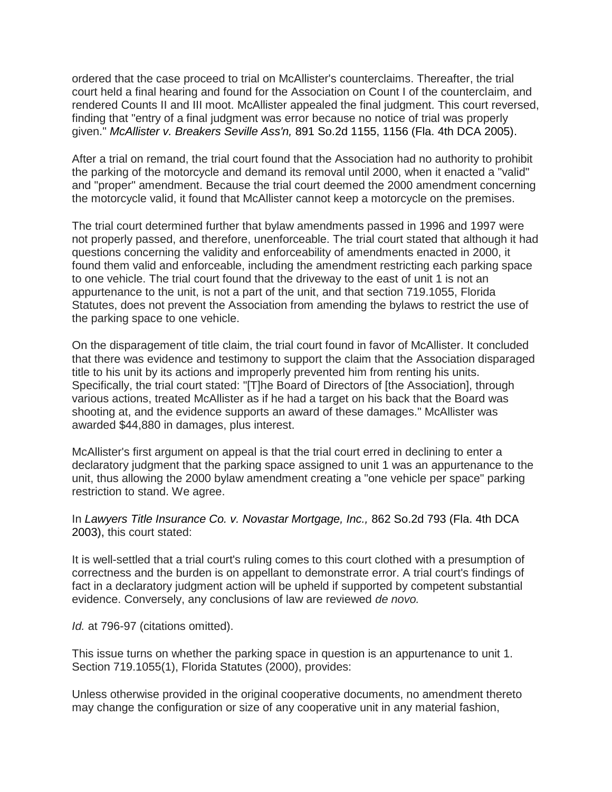ordered that the case proceed to trial on McAllister's counterclaims. Thereafter, the trial court held a final hearing and found for the Association on Count I of the counterclaim, and rendered Counts II and III moot. McAllister appealed the final judgment. This court reversed, finding that "entry of a final judgment was error because no notice of trial was properly given." *McAllister v. Breakers Seville Ass'n,* [891 So.2d 1155, 1156 \(Fla. 4th DCA 2005\).](http://scholar.google.com/scholar_case?case=15431543473101280065&hl=en&as_sdt=40006)

After a trial on remand, the trial court found that the Association had no authority to prohibit the parking of the motorcycle and demand its removal until 2000, when it enacted a "valid" and "proper" amendment. Because the trial court deemed the 2000 amendment concerning the motorcycle valid, it found that McAllister cannot keep a motorcycle on the premises.

The trial court determined further that bylaw amendments passed in 1996 and 1997 were not properly passed, and therefore, unenforceable. The trial court stated that although it had questions concerning the validity and enforceability of amendments enacted in 2000, it found them valid and enforceable, including the amendment restricting each parking space to one vehicle. The trial court found that the driveway to the east of unit 1 is not an appurtenance to the unit, is not a part of the unit, and that section 719.1055, Florida Statutes, does not prevent the Association from amending the bylaws to restrict the use of the parking space to one vehicle.

On the disparagement of title claim, the trial court found in favor of McAllister. It concluded that there was evidence and testimony to support the claim that the Association disparaged title to his unit by its actions and improperly prevented him from renting his units. Specifically, the trial court stated: "[T]he Board of Directors of [the Association], through various actions, treated McAllister as if he had a target on his back that the Board was shooting at, and the evidence supports an award of these damages." McAllister was awarded \$44,880 in damages, plus interest.

McAllister's first argument on appeal is that the trial court erred in declining to enter a declaratory judgment that the parking space assigned to unit 1 was an appurtenance to the unit, thus allowing the 2000 bylaw amendment creating a "one vehicle per space" parking restriction to stand. We agree.

#### In *Lawyers Title Insurance Co. v. Novastar Mortgage, Inc.,* 862 So.2d 793 (Fla. 4th DCA 2003), this court stated:

It is well-settled that a trial court's ruling comes to this court clothed with a presumption of correctness and the burden is on appellant to demonstrate error. A trial court's findings of fact in a declaratory judgment action will be upheld if supported by competent substantial evidence. Conversely, any conclusions of law are reviewed *de novo.*

*Id.* at 796-97 (citations omitted).

This issue turns on whether the parking space in question is an appurtenance to unit 1. Section 719.1055(1), Florida Statutes (2000), provides:

Unless otherwise provided in the original cooperative documents, no amendment thereto may change the configuration or size of any cooperative unit in any material fashion,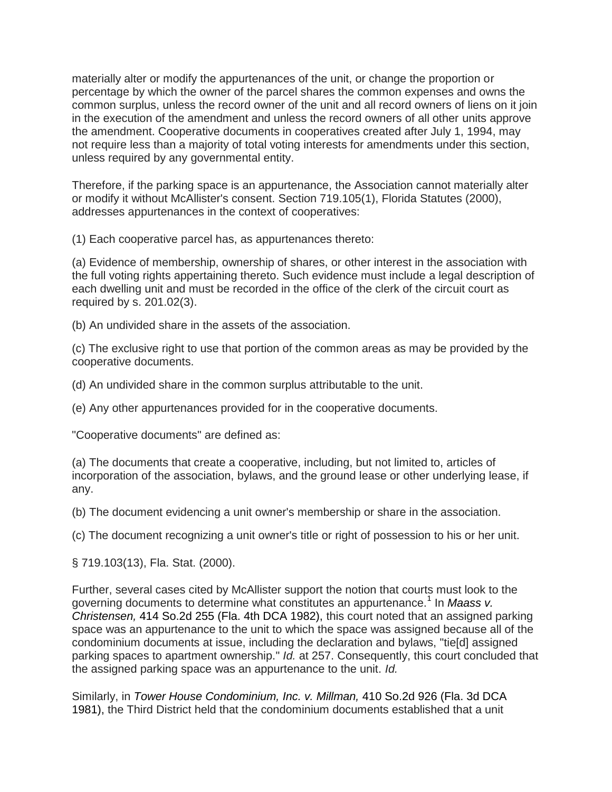materially alter or modify the appurtenances of the unit, or change the proportion or percentage by which the owner of the parcel shares the common expenses and owns the common surplus, unless the record owner of the unit and all record owners of liens on it join in the execution of the amendment and unless the record owners of all other units approve the amendment. Cooperative documents in cooperatives created after July 1, 1994, may not require less than a majority of total voting interests for amendments under this section, unless required by any governmental entity.

Therefore, if the parking space is an appurtenance, the Association cannot materially alter or modify it without McAllister's consent. Section 719.105(1), Florida Statutes (2000), addresses appurtenances in the context of cooperatives:

(1) Each cooperative parcel has, as appurtenances thereto:

(a) Evidence of membership, ownership of shares, or other interest in the association with the full voting rights appertaining thereto. Such evidence must include a legal description of each dwelling unit and must be recorded in the office of the clerk of the circuit court as required by s. 201.02(3).

(b) An undivided share in the assets of the association.

(c) The exclusive right to use that portion of the common areas as may be provided by the cooperative documents.

(d) An undivided share in the common surplus attributable to the unit.

(e) Any other appurtenances provided for in the cooperative documents.

"Cooperative documents" are defined as:

(a) The documents that create a cooperative, including, but not limited to, articles of incorporation of the association, bylaws, and the ground lease or other underlying lease, if any.

(b) The document evidencing a unit owner's membership or share in the association.

(c) The document recognizing a unit owner's title or right of possession to his or her unit.

§ 719.103(13), Fla. Stat. (2000).

Further, several cases cited by McAllister support the notion that courts must look to the governing documents to determine what constitutes an appurtenance.<sup>1</sup> In Maass v. *Christensen,* 414 So.2d 255 (Fla. 4th DCA 1982), this court noted that an assigned parking space was an appurtenance to the unit to which the space was assigned because all of the condominium documents at issue, including the declaration and bylaws, "tie[d] assigned parking spaces to apartment ownership." *Id.* at 257. Consequently, this court concluded that the assigned parking space was an appurtenance to the unit. *Id.*

Similarly, in *Tower House Condominium, Inc. v. Millman,* 410 So.2d 926 (Fla. 3d DCA 1981), the Third District held that the condominium documents established that a unit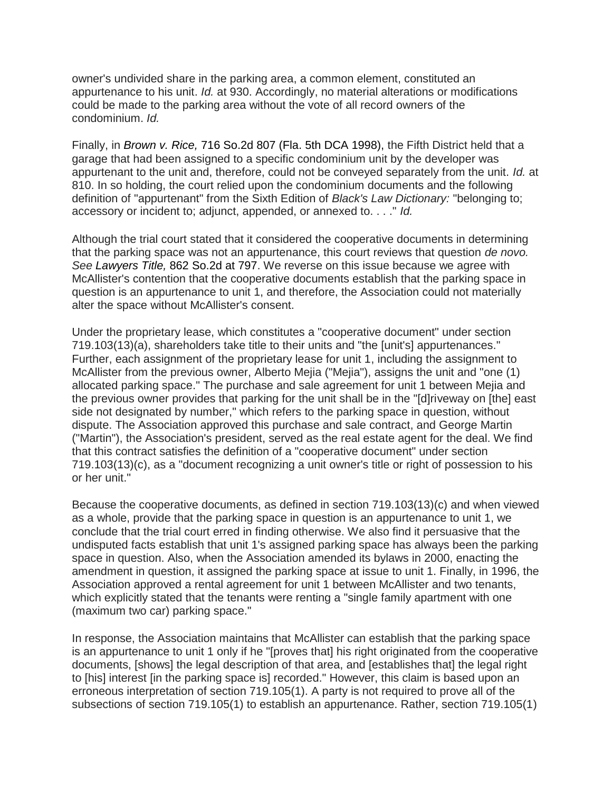owner's undivided share in the parking area, a common element, constituted an appurtenance to his unit. *Id.* at 930. Accordingly, no material alterations or modifications could be made to the parking area without the vote of all record owners of the condominium. *Id.*

Finally, in *Brown v. Rice,* 716 So.2d 807 (Fla. 5th DCA 1998), the Fifth District held that a garage that had been assigned to a specific condominium unit by the developer was appurtenant to the unit and, therefore, could not be conveyed separately from the unit. *Id.* at 810. In so holding, the court relied upon the condominium documents and the following definition of "appurtenant" from the Sixth Edition of *Black's Law Dictionary:* "belonging to; accessory or incident to; adjunct, appended, or annexed to. . . ." *Id.*

Although the trial court stated that it considered the cooperative documents in determining that the parking space was not an appurtenance, this court reviews that question *de novo. See Lawyers Title,* 862 So.2d at 797. We reverse on this issue because we agree with McAllister's contention that the cooperative documents establish that the parking space in question is an appurtenance to unit 1, and therefore, the Association could not materially alter the space without McAllister's consent.

Under the proprietary lease, which constitutes a "cooperative document" under section 719.103(13)(a), shareholders take title to their units and "the [unit's] appurtenances." Further, each assignment of the proprietary lease for unit 1, including the assignment to McAllister from the previous owner, Alberto Mejia ("Mejia"), assigns the unit and "one (1) allocated parking space." The purchase and sale agreement for unit 1 between Mejia and the previous owner provides that parking for the unit shall be in the "[d]riveway on [the] east side not designated by number," which refers to the parking space in question, without dispute. The Association approved this purchase and sale contract, and George Martin ("Martin"), the Association's president, served as the real estate agent for the deal. We find that this contract satisfies the definition of a "cooperative document" under section 719.103(13)(c), as a "document recognizing a unit owner's title or right of possession to his or her unit."

Because the cooperative documents, as defined in section 719.103(13)(c) and when viewed as a whole, provide that the parking space in question is an appurtenance to unit 1, we conclude that the trial court erred in finding otherwise. We also find it persuasive that the undisputed facts establish that unit 1's assigned parking space has always been the parking space in question. Also, when the Association amended its bylaws in 2000, enacting the amendment in question, it assigned the parking space at issue to unit 1. Finally, in 1996, the Association approved a rental agreement for unit 1 between McAllister and two tenants, which explicitly stated that the tenants were renting a "single family apartment with one (maximum two car) parking space."

In response, the Association maintains that McAllister can establish that the parking space is an appurtenance to unit 1 only if he "[proves that] his right originated from the cooperative documents, [shows] the legal description of that area, and [establishes that] the legal right to [his] interest [in the parking space is] recorded." However, this claim is based upon an erroneous interpretation of section 719.105(1). A party is not required to prove all of the subsections of section 719.105(1) to establish an appurtenance. Rather, section 719.105(1)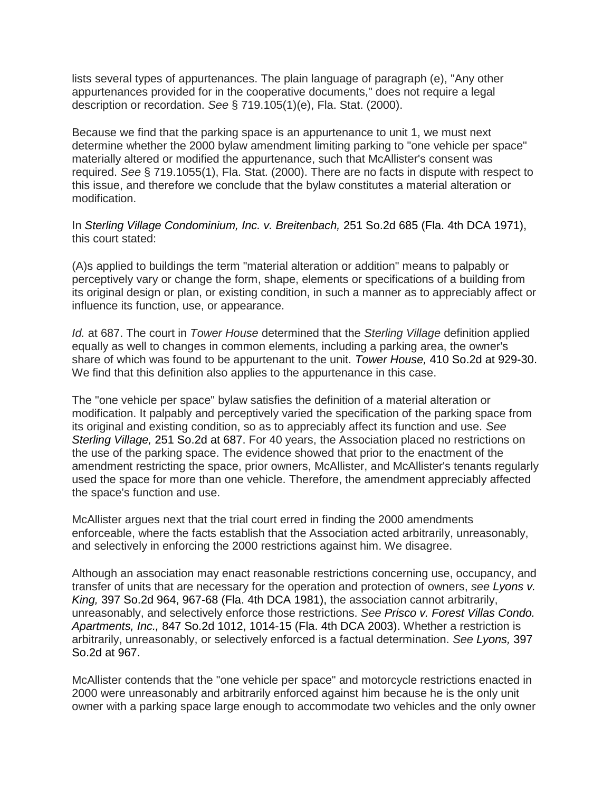lists several types of appurtenances. The plain language of paragraph (e), "Any other appurtenances provided for in the cooperative documents," does not require a legal description or recordation. *See* § 719.105(1)(e), Fla. Stat. (2000).

Because we find that the parking space is an appurtenance to unit 1, we must next determine whether the 2000 bylaw amendment limiting parking to "one vehicle per space" materially altered or modified the appurtenance, such that McAllister's consent was required. *See* § 719.1055(1), Fla. Stat. (2000). There are no facts in dispute with respect to this issue, and therefore we conclude that the bylaw constitutes a material alteration or modification.

In *Sterling Village Condominium, Inc. v. Breitenbach,* 251 So.2d 685 (Fla. 4th DCA 1971), this court stated:

(A)s applied to buildings the term "material alteration or addition" means to palpably or perceptively vary or change the form, shape, elements or specifications of a building from its original design or plan, or existing condition, in such a manner as to appreciably affect or influence its function, use, or appearance.

*Id.* at 687. The court in *Tower House* determined that the *Sterling Village* definition applied equally as well to changes in common elements, including a parking area, the owner's share of which was found to be appurtenant to the unit. *Tower House,* 410 So.2d at 929-30. We find that this definition also applies to the appurtenance in this case.

The "one vehicle per space" bylaw satisfies the definition of a material alteration or modification. It palpably and perceptively varied the specification of the parking space from its original and existing condition, so as to appreciably affect its function and use. *See Sterling Village,* 251 So.2d at 687. For 40 years, the Association placed no restrictions on the use of the parking space. The evidence showed that prior to the enactment of the amendment restricting the space, prior owners, McAllister, and McAllister's tenants regularly used the space for more than one vehicle. Therefore, the amendment appreciably affected the space's function and use.

McAllister argues next that the trial court erred in finding the 2000 amendments enforceable, where the facts establish that the Association acted arbitrarily, unreasonably, and selectively in enforcing the 2000 restrictions against him. We disagree.

Although an association may enact reasonable restrictions concerning use, occupancy, and transfer of units that are necessary for the operation and protection of owners, *see Lyons v. King,* 397 So.2d 964, 967-68 (Fla. 4th DCA 1981), the association cannot arbitrarily, unreasonably, and selectively enforce those restrictions. *See Prisco v. Forest Villas Condo. Apartments, Inc.,* 847 So.2d 1012, 1014-15 (Fla. 4th DCA 2003). Whether a restriction is arbitrarily, unreasonably, or selectively enforced is a factual determination. *See Lyons,* 397 So.2d at 967.

McAllister contends that the "one vehicle per space" and motorcycle restrictions enacted in 2000 were unreasonably and arbitrarily enforced against him because he is the only unit owner with a parking space large enough to accommodate two vehicles and the only owner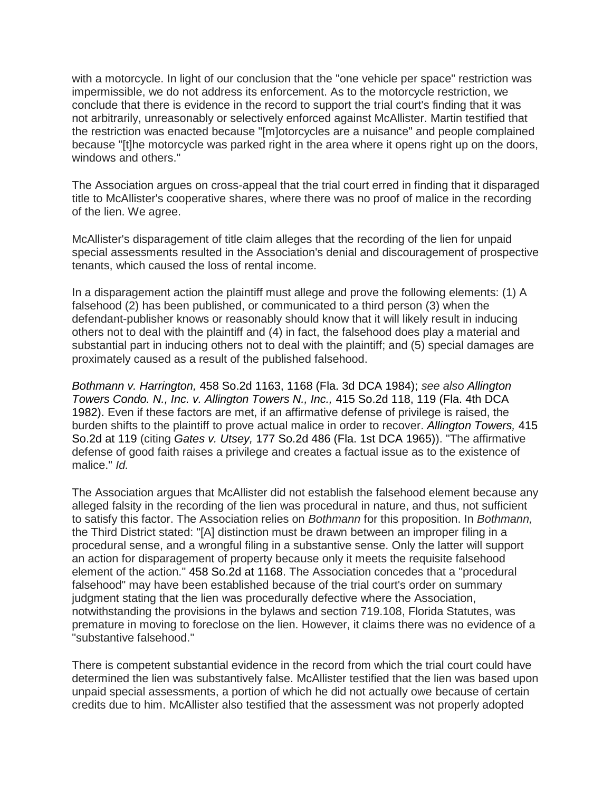with a motorcycle. In light of our conclusion that the "one vehicle per space" restriction was impermissible, we do not address its enforcement. As to the motorcycle restriction, we conclude that there is evidence in the record to support the trial court's finding that it was not arbitrarily, unreasonably or selectively enforced against McAllister. Martin testified that the restriction was enacted because "[m]otorcycles are a nuisance" and people complained because "[t]he motorcycle was parked right in the area where it opens right up on the doors, windows and others."

The Association argues on cross-appeal that the trial court erred in finding that it disparaged title to McAllister's cooperative shares, where there was no proof of malice in the recording of the lien. We agree.

McAllister's disparagement of title claim alleges that the recording of the lien for unpaid special assessments resulted in the Association's denial and discouragement of prospective tenants, which caused the loss of rental income.

In a disparagement action the plaintiff must allege and prove the following elements: (1) A falsehood (2) has been published, or communicated to a third person (3) when the defendant-publisher knows or reasonably should know that it will likely result in inducing others not to deal with the plaintiff and (4) in fact, the falsehood does play a material and substantial part in inducing others not to deal with the plaintiff; and (5) special damages are proximately caused as a result of the published falsehood.

*Bothmann v. Harrington,* 458 So.2d 1163, 1168 (Fla. 3d DCA 1984); *see also Allington Towers Condo. N., Inc. v. Allington Towers N., Inc.,* 415 So.2d 118, 119 (Fla. 4th DCA 1982). Even if these factors are met, if an affirmative defense of privilege is raised, the burden shifts to the plaintiff to prove actual malice in order to recover. *Allington Towers,* 415 So.2d at 119 (citing *Gates v. Utsey,* 177 So.2d 486 (Fla. 1st DCA 1965)). "The affirmative defense of good faith raises a privilege and creates a factual issue as to the existence of malice." *Id.*

The Association argues that McAllister did not establish the falsehood element because any alleged falsity in the recording of the lien was procedural in nature, and thus, not sufficient to satisfy this factor. The Association relies on *Bothmann* for this proposition. In *Bothmann,* the Third District stated: "[A] distinction must be drawn between an improper filing in a procedural sense, and a wrongful filing in a substantive sense. Only the latter will support an action for disparagement of property because only it meets the requisite falsehood element of the action." 458 So.2d at 1168. The Association concedes that a "procedural falsehood" may have been established because of the trial court's order on summary judgment stating that the lien was procedurally defective where the Association, notwithstanding the provisions in the bylaws and section 719.108, Florida Statutes, was premature in moving to foreclose on the lien. However, it claims there was no evidence of a "substantive falsehood."

There is competent substantial evidence in the record from which the trial court could have determined the lien was substantively false. McAllister testified that the lien was based upon unpaid special assessments, a portion of which he did not actually owe because of certain credits due to him. McAllister also testified that the assessment was not properly adopted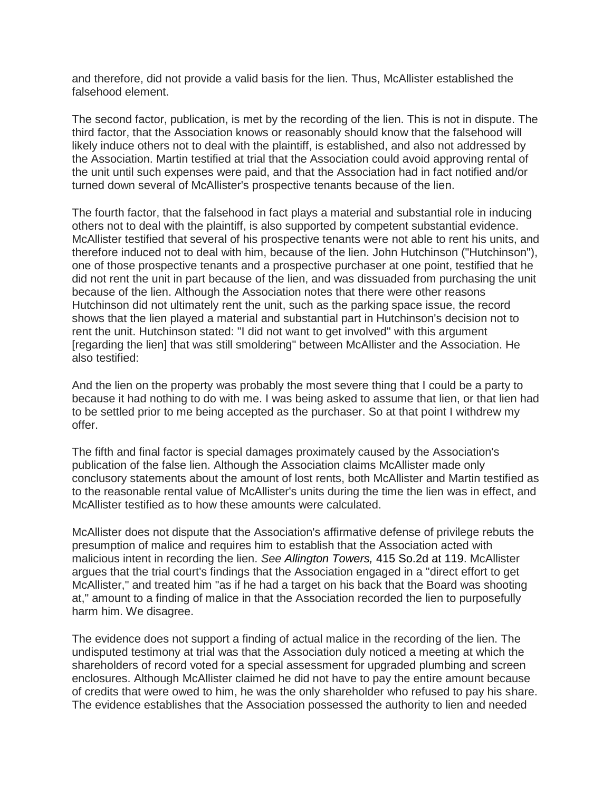and therefore, did not provide a valid basis for the lien. Thus, McAllister established the falsehood element.

The second factor, publication, is met by the recording of the lien. This is not in dispute. The third factor, that the Association knows or reasonably should know that the falsehood will likely induce others not to deal with the plaintiff, is established, and also not addressed by the Association. Martin testified at trial that the Association could avoid approving rental of the unit until such expenses were paid, and that the Association had in fact notified and/or turned down several of McAllister's prospective tenants because of the lien.

The fourth factor, that the falsehood in fact plays a material and substantial role in inducing others not to deal with the plaintiff, is also supported by competent substantial evidence. McAllister testified that several of his prospective tenants were not able to rent his units, and therefore induced not to deal with him, because of the lien. John Hutchinson ("Hutchinson"), one of those prospective tenants and a prospective purchaser at one point, testified that he did not rent the unit in part because of the lien, and was dissuaded from purchasing the unit because of the lien. Although the Association notes that there were other reasons Hutchinson did not ultimately rent the unit, such as the parking space issue, the record shows that the lien played a material and substantial part in Hutchinson's decision not to rent the unit. Hutchinson stated: "I did not want to get involved" with this argument [regarding the lien] that was still smoldering" between McAllister and the Association. He also testified:

And the lien on the property was probably the most severe thing that I could be a party to because it had nothing to do with me. I was being asked to assume that lien, or that lien had to be settled prior to me being accepted as the purchaser. So at that point I withdrew my offer.

The fifth and final factor is special damages proximately caused by the Association's publication of the false lien. Although the Association claims McAllister made only conclusory statements about the amount of lost rents, both McAllister and Martin testified as to the reasonable rental value of McAllister's units during the time the lien was in effect, and McAllister testified as to how these amounts were calculated.

McAllister does not dispute that the Association's affirmative defense of privilege rebuts the presumption of malice and requires him to establish that the Association acted with malicious intent in recording the lien. *See Allington Towers,* 415 So.2d at 119. McAllister argues that the trial court's findings that the Association engaged in a "direct effort to get McAllister," and treated him "as if he had a target on his back that the Board was shooting at," amount to a finding of malice in that the Association recorded the lien to purposefully harm him. We disagree.

The evidence does not support a finding of actual malice in the recording of the lien. The undisputed testimony at trial was that the Association duly noticed a meeting at which the shareholders of record voted for a special assessment for upgraded plumbing and screen enclosures. Although McAllister claimed he did not have to pay the entire amount because of credits that were owed to him, he was the only shareholder who refused to pay his share. The evidence establishes that the Association possessed the authority to lien and needed